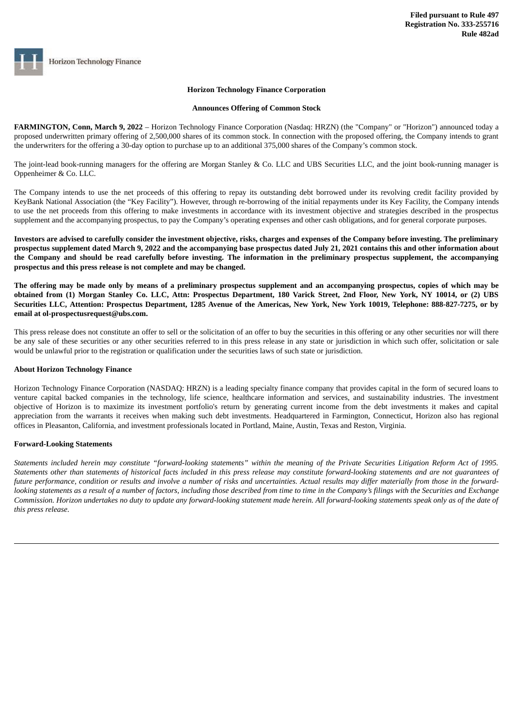**Horizon Technology Finance** 

## **Horizon Technology Finance Corporation**

## **Announces Offering of Common Stock**

**FARMINGTON, Conn, March 9, 2022** – Horizon Technology Finance Corporation (Nasdaq: HRZN) (the "Company" or "Horizon") announced today a proposed underwritten primary offering of 2,500,000 shares of its common stock. In connection with the proposed offering, the Company intends to grant the underwriters for the offering a 30-day option to purchase up to an additional 375,000 shares of the Company's common stock.

The joint-lead book-running managers for the offering are Morgan Stanley & Co. LLC and UBS Securities LLC, and the joint book-running manager is Oppenheimer & Co. LLC.

The Company intends to use the net proceeds of this offering to repay its outstanding debt borrowed under its revolving credit facility provided by KeyBank National Association (the "Key Facility"). However, through re-borrowing of the initial repayments under its Key Facility, the Company intends to use the net proceeds from this offering to make investments in accordance with its investment objective and strategies described in the prospectus supplement and the accompanying prospectus, to pay the Company's operating expenses and other cash obligations, and for general corporate purposes.

Investors are advised to carefully consider the investment objective, risks, charges and expenses of the Company before investing. The preliminary prospectus supplement dated March 9, 2022 and the accompanying base prospectus dated July 21, 2021 contains this and other information about the Company and should be read carefully before investing. The information in the preliminary prospectus supplement, the accompanying **prospectus and this press release is not complete and may be changed.**

The offering may be made only by means of a preliminary prospectus supplement and an accompanying prospectus, copies of which may be obtained from (1) Morgan Stanley Co. LLC, Attn: Prospectus Department, 180 Varick Street, 2nd Floor, New York, NY 10014, or (2) UBS Securities LLC, Attention: Prospectus Department, 1285 Avenue of the Americas, New York, New York 10019, Telephone: 888-827-7275, or by **email at ol-prospectusrequest@ubs.com.**

This press release does not constitute an offer to sell or the solicitation of an offer to buy the securities in this offering or any other securities nor will there be any sale of these securities or any other securities referred to in this press release in any state or jurisdiction in which such offer, solicitation or sale would be unlawful prior to the registration or qualification under the securities laws of such state or jurisdiction.

## **About Horizon Technology Finance**

Horizon Technology Finance Corporation (NASDAQ: HRZN) is a leading specialty finance company that provides capital in the form of secured loans to venture capital backed companies in the technology, life science, healthcare information and services, and sustainability industries. The investment objective of Horizon is to maximize its investment portfolio's return by generating current income from the debt investments it makes and capital appreciation from the warrants it receives when making such debt investments. Headquartered in Farmington, Connecticut, Horizon also has regional offices in Pleasanton, California, and investment professionals located in Portland, Maine, Austin, Texas and Reston, Virginia.

## **Forward-Looking Statements**

Statements included herein may constitute "forward-looking statements" within the meaning of the Private Securities Litigation Reform Act of 1995. Statements other than statements of historical facts included in this press release may constitute forward-looking statements and are not quarantees of future performance, condition or results and involve a number of risks and uncertainties. Actual results may differ materially from those in the forwardlooking statements as a result of a number of factors, including those described from time to time in the Company's filings with the Securities and Exchange Commission. Horizon undertakes no duty to update any forward-looking statement made herein. All forward-looking statements speak only as of the date of *this press release.*